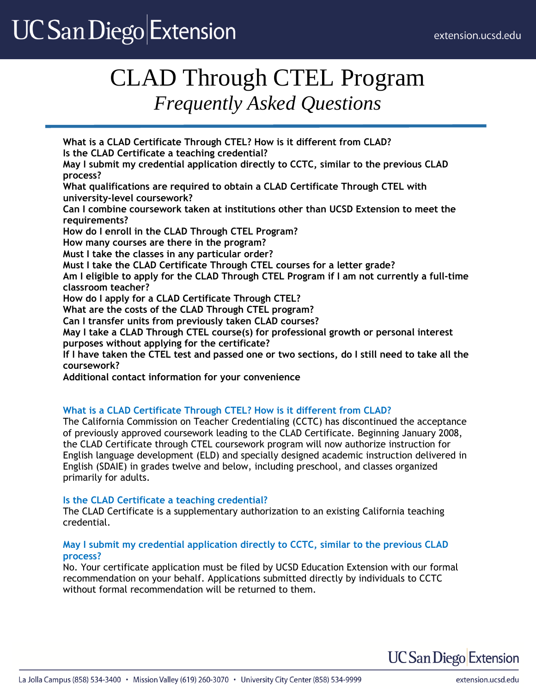# **UC San Diego Extension**

# CLAD Through CTEL Program *Frequently Asked Questions*

**What is a CLAD Certificate Through CTEL? How is it different from CLAD? Is the CLAD Certificate a teaching credential? May I submit my credential application directly to CCTC, similar to the previous CLAD process? What qualifications are required to obtain a CLAD Certificate Through CTEL with university-level coursework? Can I combine coursework taken at institutions other than UCSD Extension to meet the requirements? How do I enroll in the CLAD Through CTEL Program? How many courses are there in the program? Must I take the classes in any particular order? Must I take the CLAD Certificate Through CTEL courses for a letter grade? Am I eligible to apply for the CLAD Through CTEL Program if I am not currently a full-time classroom teacher? How do I apply for a CLAD Certificate Through CTEL? What are the costs of the CLAD Through CTEL program? Can I transfer units from previously taken CLAD courses? May I take a CLAD Through CTEL course(s) for professional growth or personal interest purposes without applying for the certificate? If I have taken the CTEL test and passed one or two sections, do I still need to take all the coursework? Additional contact information for your convenience**

## **What is a CLAD Certificate Through CTEL? How is it different from CLAD?**

The California Commission on Teacher Credentialing (CCTC) has discontinued the acceptance of previously approved coursework leading to the CLAD Certificate. Beginning January 2008, the CLAD Certificate through CTEL coursework program will now authorize instruction for English language development (ELD) and specially designed academic instruction delivered in English (SDAIE) in grades twelve and below, including preschool, and classes organized primarily for adults.

## **Is the CLAD Certificate a teaching credential?**

The CLAD Certificate is a supplementary authorization to an existing California teaching credential.

### **May I submit my credential application directly to CCTC, similar to the previous CLAD process?**

No. Your certificate application must be filed by UCSD Education Extension with our formal recommendation on your behalf. Applications submitted directly by individuals to CCTC without formal recommendation will be returned to them.

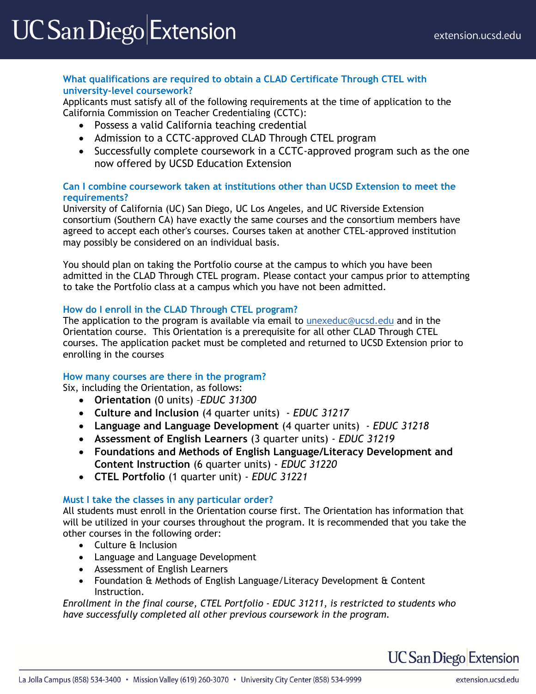### **What qualifications are required to obtain a CLAD Certificate Through CTEL with university-level coursework?**

Applicants must satisfy all of the following requirements at the time of application to the California Commission on Teacher Credentialing (CCTC):

- Possess a valid California teaching credential
- Admission to a CCTC-approved CLAD Through CTEL program
- Successfully complete coursework in a CCTC-approved program such as the one now offered by UCSD Education Extension

### **Can I combine coursework taken at institutions other than UCSD Extension to meet the requirements?**

University of California (UC) San Diego, UC Los Angeles, and UC Riverside Extension consortium (Southern CA) have exactly the same courses and the consortium members have agreed to accept each other's courses. Courses taken at another CTEL-approved institution may possibly be considered on an individual basis.

You should plan on taking the Portfolio course at the campus to which you have been admitted in the CLAD Through CTEL program. Please contact your campus prior to attempting to take the Portfolio class at a campus which you have not been admitted.

### **How do I enroll in the CLAD Through CTEL program?**

The application to the program is available via email to [unexeduc@ucsd.edu](mailto:unexeduc@ucsd.edu) and in the Orientation course. This Orientation is a prerequisite for all other CLAD Through CTEL courses. The application packet must be completed and returned to UCSD Extension prior to enrolling in the courses

### **How many courses are there in the program?**

Six, including the Orientation, as follows:

- **Orientation** (0 units) –*EDUC 31300*
- **Culture and Inclusion** (4 quarter units) *EDUC 31217*
- **Language and Language Development** (4 quarter units) *EDUC 31218*
- **Assessment of English Learners** (3 quarter units) *EDUC 31219*
- **Foundations and Methods of English Language/Literacy Development and Content Instruction** (6 quarter units) - *EDUC 31220*
- **CTEL Portfolio** (1 quarter unit) *EDUC 31221*

### **Must I take the classes in any particular order?**

All students must enroll in the Orientation course first. The Orientation has information that will be utilized in your courses throughout the program. It is recommended that you take the other courses in the following order:

- Culture & Inclusion
- Language and Language Development
- Assessment of English Learners
- Foundation & Methods of English Language/Literacy Development & Content Instruction.

*Enrollment in the final course, CTEL Portfolio - EDUC 31211, is restricted to students who have successfully completed all other previous coursework in the program.*